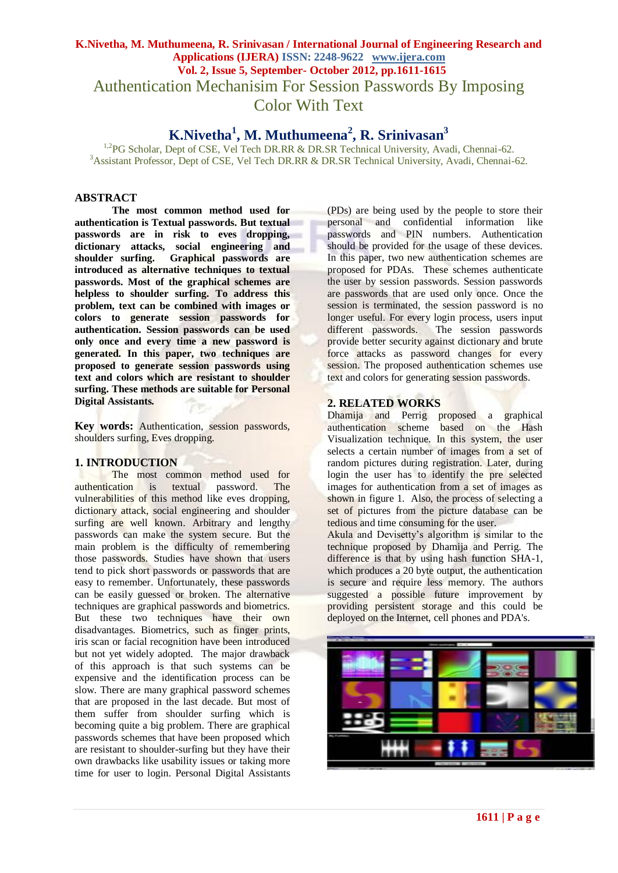# **K.Nivetha, M. Muthumeena, R. Srinivasan / International Journal of Engineering Research and Applications (IJERA) ISSN: 2248-9622 www.ijera.com Vol. 2, Issue 5, September- October 2012, pp.1611-1615** Authentication Mechanisim For Session Passwords By Imposing Color With Text

# **K.Nivetha<sup>1</sup> , M. Muthumeena<sup>2</sup> , R. Srinivasan<sup>3</sup>**

<sup>1,2</sup>PG Scholar, Dept of CSE, Vel Tech DR.RR & DR.SR Technical University, Avadi, Chennai-62. <sup>3</sup> Assistant Professor, Dept of CSE, Vel Tech DR.RR & DR.SR Technical University, Avadi, Chennai-62.

#### **ABSTRACT**

**The most common method used for authentication is Textual passwords. But textual passwords are in risk to eves dropping,**  dictionary attacks, social engineering and<br>shoulder surfing. Graphical passwords are **Graphical passwords are introduced as alternative techniques to textual passwords. Most of the graphical schemes are helpless to shoulder surfing. To address this problem, text can be combined with images or colors to generate session passwords for authentication. Session passwords can be used only once and every time a new password is generated. In this paper, two techniques are proposed to generate session passwords using text and colors which are resistant to shoulder surfing. These methods are suitable for Personal Digital Assistants.**

**Key words:** Authentication, session passwords, shoulders surfing, Eves dropping.

#### **1. INTRODUCTION**

The most common method used for authentication is textual password. The vulnerabilities of this method like eves dropping, dictionary attack, social engineering and shoulder surfing are well known. Arbitrary and lengthy passwords can make the system secure. But the main problem is the difficulty of remembering those passwords. Studies have shown that users tend to pick short passwords or passwords that are easy to remember. Unfortunately, these passwords can be easily guessed or broken. The alternative techniques are graphical passwords and biometrics. But these two techniques have their own disadvantages. Biometrics, such as finger prints, iris scan or facial recognition have been introduced but not yet widely adopted. The major drawback of this approach is that such systems can be expensive and the identification process can be slow. There are many graphical password schemes that are proposed in the last decade. But most of them suffer from shoulder surfing which is becoming quite a big problem. There are graphical passwords schemes that have been proposed which are resistant to shoulder-surfing but they have their own drawbacks like usability issues or taking more time for user to login. Personal Digital Assistants

(PDs) are being used by the people to store their personal and confidential information like passwords and PIN numbers. Authentication should be provided for the usage of these devices. In this paper, two new authentication schemes are proposed for PDAs. These schemes authenticate the user by session passwords. Session passwords are passwords that are used only once. Once the session is terminated, the session password is no longer useful. For every login process, users input different passwords. The session passwords provide better security against dictionary and brute force attacks as password changes for every session. The proposed authentication schemes use text and colors for generating session passwords.

#### **2. RELATED WORKS**

Dhamija and Perrig proposed a graphical authentication scheme based on the Hash Visualization technique. In this system, the user selects a certain number of images from a set of random pictures during registration. Later, during login the user has to identify the pre selected images for authentication from a set of images as shown in figure 1. Also, the process of selecting a set of pictures from the picture database can be tedious and time consuming for the user.

Akula and Devisetty's algorithm is similar to the technique proposed by Dhamija and Perrig. The difference is that by using hash function SHA-1, which produces a 20 byte output, the authentication is secure and require less memory. The authors suggested a possible future improvement by providing persistent storage and this could be deployed on the Internet, cell phones and PDA's.

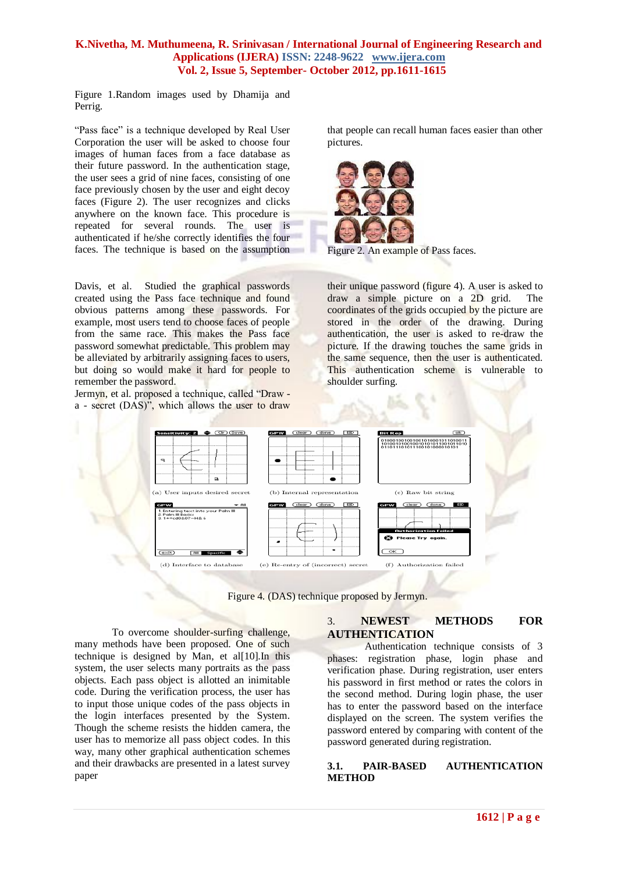Figure 1.Random images used by Dhamija and Perrig.

"Pass face" is a technique developed by Real User Corporation the user will be asked to choose four images of human faces from a face database as their future password. In the authentication stage, the user sees a grid of nine faces, consisting of one face previously chosen by the user and eight decoy faces (Figure 2). The user recognizes and clicks anywhere on the known face. This procedure is repeated for several rounds. The user is authenticated if he/she correctly identifies the four faces. The technique is based on the assumption

Davis, et al. Studied the graphical passwords created using the Pass face technique and found obvious patterns among these passwords. For example, most users tend to choose faces of people from the same race. This makes the Pass face password somewhat predictable. This problem may be alleviated by arbitrarily assigning faces to users, but doing so would make it hard for people to remember the password.

Jermyn, et al. proposed a technique, called "Draw a - secret (DAS)", which allows the user to draw that people can recall human faces easier than other pictures.





their unique password (figure 4). A user is asked to draw a simple picture on a 2D grid. The coordinates of the grids occupied by the picture are stored in the order of the drawing. During authentication, the user is asked to re-draw the picture. If the drawing touches the same grids in the same sequence, then the user is authenticated. This authentication scheme is vulnerable to shoulder surfing.



Figure 4. (DAS) technique proposed by Jermyn.

To overcome shoulder-surfing challenge, many methods have been proposed. One of such technique is designed by Man, et al[10].In this system, the user selects many portraits as the pass objects. Each pass object is allotted an inimitable code. During the verification process, the user has to input those unique codes of the pass objects in the login interfaces presented by the System. Though the scheme resists the hidden camera, the user has to memorize all pass object codes. In this way, many other graphical authentication schemes and their drawbacks are presented in a latest survey paper

#### 3. **NEWEST METHODS FOR AUTHENTICATION**

Authentication technique consists of 3 phases: registration phase, login phase and verification phase. During registration, user enters his password in first method or rates the colors in the second method. During login phase, the user has to enter the password based on the interface displayed on the screen. The system verifies the password entered by comparing with content of the password generated during registration.

#### **3.1. PAIR-BASED AUTHENTICATION METHOD**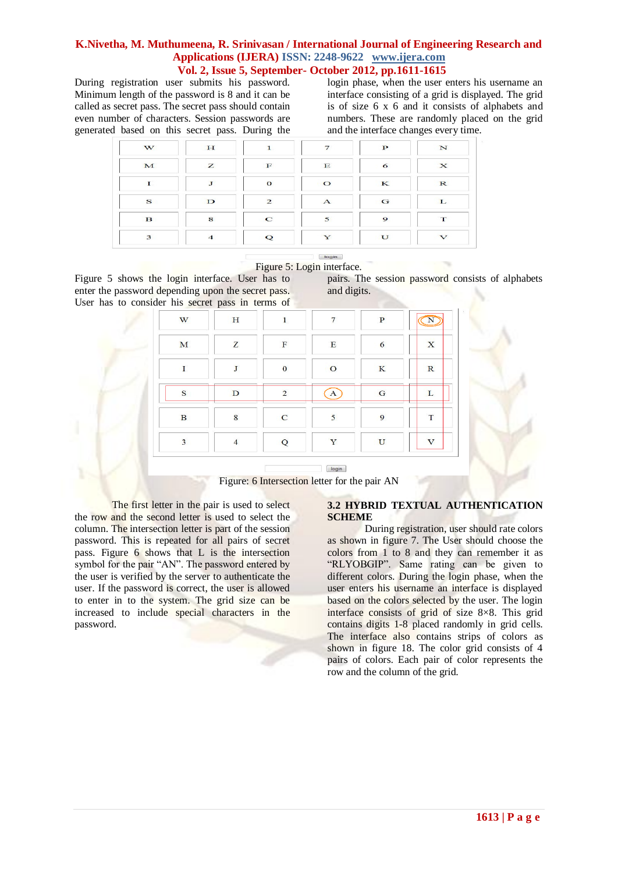During registration user submits his password. Minimum length of the password is 8 and it can be called as secret pass. The secret pass should contain even number of characters. Session passwords are generated based on this secret pass. During the login phase, when the user enters his username an interface consisting of a grid is displayed. The grid is of size 6 x 6 and it consists of alphabets and numbers. These are randomly placed on the grid and the interface changes every time.

| W            | H              | $\mathbf{1}$   | $\overline{7}$ | $\mathbf{P}$ | N               |
|--------------|----------------|----------------|----------------|--------------|-----------------|
| M            | z              | $\mathbf F$    | $\mathbf E$    | 6            | $\mathbf{x}$    |
| T.           | $\mathbf{J}$   | $\mathbf{o}$   | $\circ$        | K            | $\mathbf R$     |
| $\mathbf{s}$ | $\mathbf{D}$   | $\overline{2}$ | $\mathbf{A}$   | G            | L               |
| $\mathbf{B}$ | 8              | $\mathbf C$    | 5              | $\mathbf{Q}$ | T               |
| 3            | $\overline{4}$ | Q              | Y              | U            | $\triangledown$ |



Figure 5 shows the login interface. User has to enter the password depending upon the secret pass. User has to consider his secret pass in terms of

pairs. The session password consists of alphabets and digits.

| W                       | H              | $\mathbf{1}$   | $\overline{7}$ | $\mathbf{P}$ |                         |
|-------------------------|----------------|----------------|----------------|--------------|-------------------------|
| M                       | Z              | $\mathbf F$    | $\mathbf E$    | 6            | $\mathbf x$             |
| I.                      | J              | $\mathbf{0}$   | $\mathbf{O}$   | K            | $\mathbf R$             |
| S                       | D              | $\overline{2}$ | A              | G            | L                       |
| $\bf{B}$                | 8              | $\mathbf C$    | 5              | 9            | T                       |
| $\overline{\mathbf{3}}$ | $\overline{4}$ | Q              | Y              | U            | $\overline{\mathbf{V}}$ |

 $\boxed{\mathsf{login}}$ 



The first letter in the pair is used to select the row and the second letter is used to select the column. The intersection letter is part of the session password. This is repeated for all pairs of secret pass. Figure 6 shows that L is the intersection symbol for the pair "AN". The password entered by the user is verified by the server to authenticate the user. If the password is correct, the user is allowed to enter in to the system. The grid size can be increased to include special characters in the password.

#### **3.2 HYBRID TEXTUAL AUTHENTICATION SCHEME**

During registration, user should rate colors as shown in figure 7. The User should choose the colors from 1 to 8 and they can remember it as "RLYOBGIP". Same rating can be given to different colors. During the login phase, when the user enters his username an interface is displayed based on the colors selected by the user. The login interface consists of grid of size 8×8. This grid contains digits 1-8 placed randomly in grid cells. The interface also contains strips of colors as shown in figure 18. The color grid consists of 4 pairs of colors. Each pair of color represents the row and the column of the grid.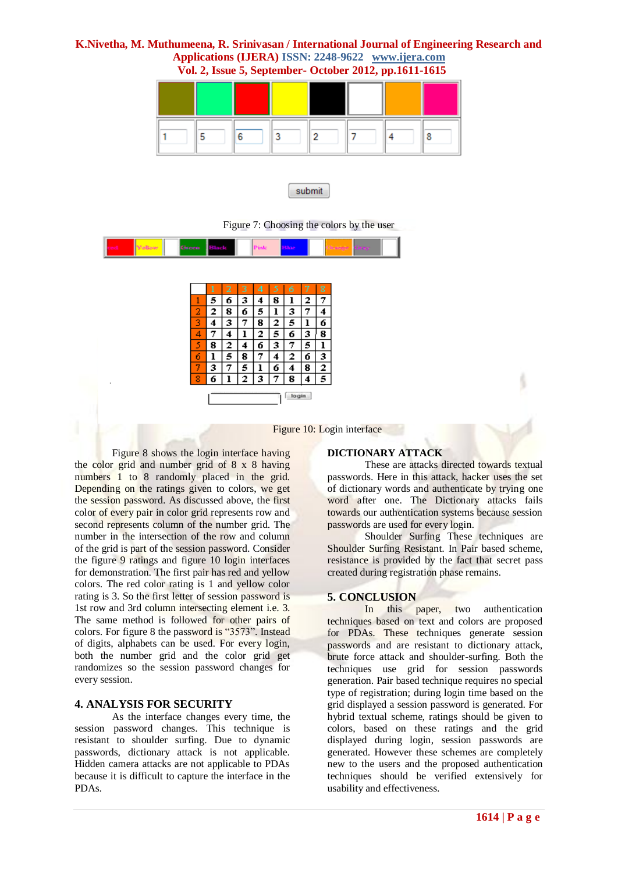



Figure 7: Choosing the colors by the user



|              |   | 2 | 3 | 4 | 5 | 6 | 7 | 8 |
|--------------|---|---|---|---|---|---|---|---|
|              | 5 | 6 | 3 | 4 | 8 | ı | 2 | 7 |
| 2            | 2 | 8 | 6 | 5 | l | з | 7 | 4 |
| 3            | 4 | 3 | 7 | 8 | 2 | 5 |   | 6 |
| 4            | 7 | 4 |   | 2 | 5 | 6 | 3 | 8 |
| 5            | 8 | 2 | 4 | 6 | 3 | 7 | 5 | ı |
| 6            |   | 5 | 8 | 7 | 4 | 2 | б | з |
| 7            | 3 | 7 | 5 | ı | 6 | 4 | 8 | 2 |
| 8            | 6 |   | 2 | 3 | 7 | 8 | 4 | 5 |
| <b>login</b> |   |   |   |   |   |   |   |   |

Figure 10: Login interface

Figure 8 shows the login interface having the color grid and number grid of 8 x 8 having numbers 1 to 8 randomly placed in the grid. Depending on the ratings given to colors, we get the session password. As discussed above, the first color of every pair in color grid represents row and second represents column of the number grid. The number in the intersection of the row and column of the grid is part of the session password. Consider the figure 9 ratings and figure 10 login interfaces for demonstration. The first pair has red and yellow colors. The red color rating is 1 and yellow color rating is 3. So the first letter of session password is 1st row and 3rd column intersecting element i.e. 3. The same method is followed for other pairs of colors. For figure 8 the password is "3573". Instead of digits, alphabets can be used. For every login, both the number grid and the color grid get randomizes so the session password changes for every session.

#### **4. ANALYSIS FOR SECURITY**

As the interface changes every time, the session password changes. This technique is resistant to shoulder surfing. Due to dynamic passwords, dictionary attack is not applicable. Hidden camera attacks are not applicable to PDAs because it is difficult to capture the interface in the PDAs.

#### **DICTIONARY ATTACK**

These are attacks directed towards textual passwords. Here in this attack, hacker uses the set of dictionary words and authenticate by trying one word after one. The Dictionary attacks fails towards our authentication systems because session passwords are used for every login.

Shoulder Surfing These techniques are Shoulder Surfing Resistant. In Pair based scheme, resistance is provided by the fact that secret pass created during registration phase remains.

#### **5. CONCLUSION**

In this paper, two authentication techniques based on text and colors are proposed for PDAs. These techniques generate session passwords and are resistant to dictionary attack, brute force attack and shoulder-surfing. Both the techniques use grid for session passwords generation. Pair based technique requires no special type of registration; during login time based on the grid displayed a session password is generated. For hybrid textual scheme, ratings should be given to colors, based on these ratings and the grid displayed during login, session passwords are generated. However these schemes are completely new to the users and the proposed authentication techniques should be verified extensively for usability and effectiveness.